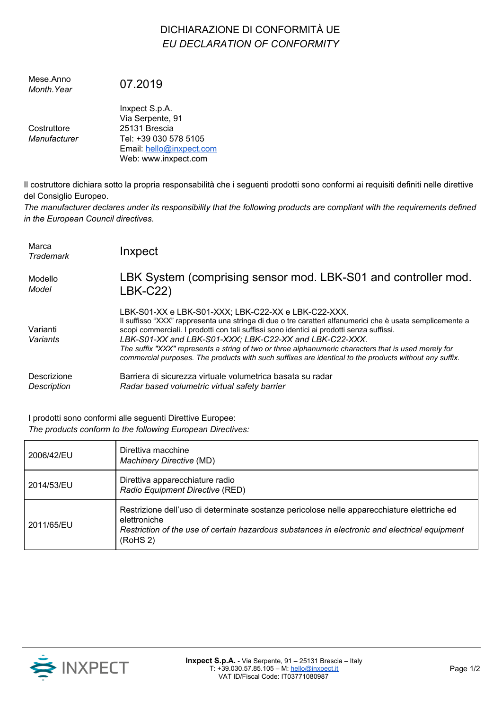## DICHIARAZIONE DI CONFORMITÀ UE *EU DECLARATION OF CONFORMITY*

| Mese Anno<br>Month. Year    | 07.2019                                                                                                                          |
|-----------------------------|----------------------------------------------------------------------------------------------------------------------------------|
| Costruttore<br>Manufacturer | Inxpect S.p.A.<br>Via Serpente, 91<br>25131 Brescia<br>Tel: +39 030 578 5105<br>Email: hello@inxpect.com<br>Web: www.inxpect.com |

Il costruttore dichiara sotto la propria responsabilità che i seguenti prodotti sono conformi ai requisiti definiti nelle direttive del Consiglio Europeo.

The manufacturer declares under its responsibility that the following products are compliant with the requirements defined *in the European Council directives.*

| Marca<br>Trademark   | Inxpect                                                                                                                                                                                                                                                                                                                                                                                                                                                                                                                                    |
|----------------------|--------------------------------------------------------------------------------------------------------------------------------------------------------------------------------------------------------------------------------------------------------------------------------------------------------------------------------------------------------------------------------------------------------------------------------------------------------------------------------------------------------------------------------------------|
| Modello              | LBK System (comprising sensor mod. LBK-S01 and controller mod.                                                                                                                                                                                                                                                                                                                                                                                                                                                                             |
| Model                | <b>LBK-C22)</b>                                                                                                                                                                                                                                                                                                                                                                                                                                                                                                                            |
| Varianti<br>Variants | LBK-S01-XX e LBK-S01-XXX; LBK-C22-XX e LBK-C22-XXX.<br>Il suffisso "XXX" rappresenta una stringa di due o tre caratteri alfanumerici che è usata semplicemente a<br>scopi commerciali. I prodotti con tali suffissi sono identici ai prodotti senza suffissi.<br>LBK-S01-XX and LBK-S01-XXX; LBK-C22-XX and LBK-C22-XXX.<br>The suffix "XXX" represents a string of two or three alphanumeric characters that is used merely for<br>commercial purposes. The products with such suffixes are identical to the products without any suffix. |
| Descrizione          | Barriera di sicurezza virtuale volumetrica basata su radar                                                                                                                                                                                                                                                                                                                                                                                                                                                                                 |
| Description          | Radar based volumetric virtual safety barrier                                                                                                                                                                                                                                                                                                                                                                                                                                                                                              |

I prodotti sono conformi alle seguenti Direttive Europee: *The products conform to the following European Directives:*

| 2006/42/EU | Direttiva macchine<br><b>Machinery Directive (MD)</b>                                                                                                                                                                    |
|------------|--------------------------------------------------------------------------------------------------------------------------------------------------------------------------------------------------------------------------|
| 2014/53/EU | Direttiva apparecchiature radio<br>Radio Equipment Directive (RED)                                                                                                                                                       |
| 2011/65/EU | Restrizione dell'uso di determinate sostanze pericolose nelle apparecchiature elettriche ed<br>elettroniche<br>Restriction of the use of certain hazardous substances in electronic and electrical equipment<br>(RoHS 2) |